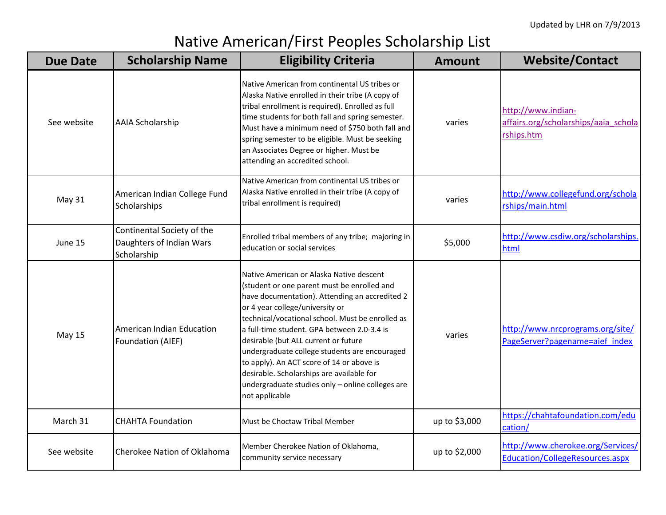## Native American/First Peoples Scholarship List

| <b>Due Date</b> | <b>Scholarship Name</b>                                               | <b>Eligibility Criteria</b>                                                                                                                                                                                                                                                                                                                                                                                                                                                                                                              | <b>Amount</b> | <b>Website/Contact</b>                                                      |
|-----------------|-----------------------------------------------------------------------|------------------------------------------------------------------------------------------------------------------------------------------------------------------------------------------------------------------------------------------------------------------------------------------------------------------------------------------------------------------------------------------------------------------------------------------------------------------------------------------------------------------------------------------|---------------|-----------------------------------------------------------------------------|
| See website     | <b>AAIA Scholarship</b>                                               | Native American from continental US tribes or<br>Alaska Native enrolled in their tribe (A copy of<br>tribal enrollment is required). Enrolled as full<br>time students for both fall and spring semester.<br>Must have a minimum need of \$750 both fall and<br>spring semester to be eligible. Must be seeking<br>an Associates Degree or higher. Must be<br>attending an accredited school.                                                                                                                                            | varies        | http://www.indian-<br>affairs.org/scholarships/aaia_schola<br>rships.htm    |
| May 31          | American Indian College Fund<br>Scholarships                          | Native American from continental US tribes or<br>Alaska Native enrolled in their tribe (A copy of<br>tribal enrollment is required)                                                                                                                                                                                                                                                                                                                                                                                                      | varies        | http://www.collegefund.org/schola<br>rships/main.html                       |
| June 15         | Continental Society of the<br>Daughters of Indian Wars<br>Scholarship | Enrolled tribal members of any tribe; majoring in<br>education or social services                                                                                                                                                                                                                                                                                                                                                                                                                                                        | \$5,000       | http://www.csdiw.org/scholarships.<br>html                                  |
| <b>May 15</b>   | American Indian Education<br>Foundation (AIEF)                        | Native American or Alaska Native descent<br>(student or one parent must be enrolled and<br>have documentation). Attending an accredited 2<br>or 4 year college/university or<br>technical/vocational school. Must be enrolled as<br>a full-time student. GPA between 2.0-3.4 is<br>desirable (but ALL current or future<br>undergraduate college students are encouraged<br>to apply). An ACT score of 14 or above is<br>desirable. Scholarships are available for<br>undergraduate studies only - online colleges are<br>not applicable | varies        | http://www.nrcprograms.org/site/<br>PageServer?pagename=aief_index          |
| March 31        | <b>CHAHTA Foundation</b>                                              | Must be Choctaw Tribal Member                                                                                                                                                                                                                                                                                                                                                                                                                                                                                                            | up to \$3,000 | https://chahtafoundation.com/edu<br>cation/                                 |
| See website     | Cherokee Nation of Oklahoma                                           | Member Cherokee Nation of Oklahoma,<br>community service necessary                                                                                                                                                                                                                                                                                                                                                                                                                                                                       | up to \$2,000 | http://www.cherokee.org/Services/<br><b>Education/CollegeResources.aspx</b> |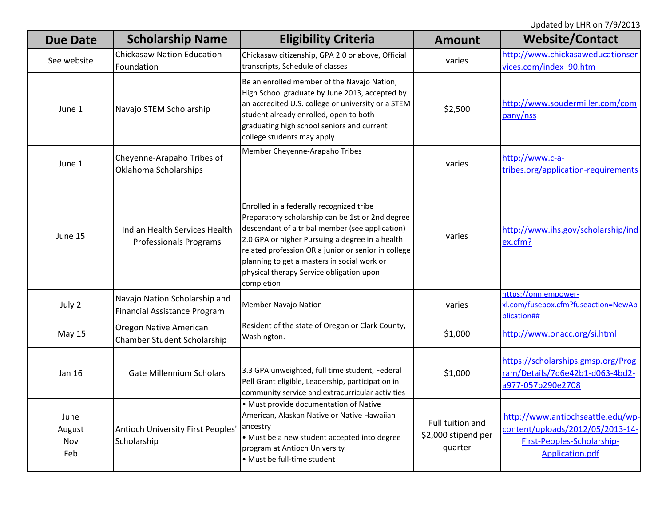| <b>Due Date</b>              | <b>Scholarship Name</b>                                              | <b>Eligibility Criteria</b>                                                                                                                                                                                                                                                                                                                                        | <b>Amount</b>                                      | <b>Website/Contact</b>                                                                                                 |
|------------------------------|----------------------------------------------------------------------|--------------------------------------------------------------------------------------------------------------------------------------------------------------------------------------------------------------------------------------------------------------------------------------------------------------------------------------------------------------------|----------------------------------------------------|------------------------------------------------------------------------------------------------------------------------|
| See website                  | <b>Chickasaw Nation Education</b><br>Foundation                      | Chickasaw citizenship, GPA 2.0 or above, Official<br>transcripts, Schedule of classes                                                                                                                                                                                                                                                                              | varies                                             | http://www.chickasaweducationser<br>vices.com/index 90.htm                                                             |
| June 1                       | Navajo STEM Scholarship                                              | Be an enrolled member of the Navajo Nation,<br>High School graduate by June 2013, accepted by<br>an accredited U.S. college or university or a STEM<br>student already enrolled, open to both<br>graduating high school seniors and current<br>college students may apply                                                                                          | \$2,500                                            | http://www.soudermiller.com/com<br>pany/nss                                                                            |
| June 1                       | Cheyenne-Arapaho Tribes of<br>Oklahoma Scholarships                  | Member Cheyenne-Arapaho Tribes                                                                                                                                                                                                                                                                                                                                     | varies                                             | http://www.c-a-<br>tribes.org/application-requirements                                                                 |
| June 15                      | Indian Health Services Health<br><b>Professionals Programs</b>       | Enrolled in a federally recognized tribe<br>Preparatory scholarship can be 1st or 2nd degree<br>descendant of a tribal member (see application)<br>2.0 GPA or higher Pursuing a degree in a health<br>related profession OR a junior or senior in college<br>planning to get a masters in social work or<br>physical therapy Service obligation upon<br>completion | varies                                             | http://www.ihs.gov/scholarship/ind<br>ex.cfm?                                                                          |
| July 2                       | Navajo Nation Scholarship and<br><b>Financial Assistance Program</b> | Member Navajo Nation                                                                                                                                                                                                                                                                                                                                               | varies                                             | https://onn.empower-<br>xl.com/fusebox.cfm?fuseaction=NewAp<br>plication##                                             |
| <b>May 15</b>                | Oregon Native American<br>Chamber Student Scholarship                | Resident of the state of Oregon or Clark County,<br>Washington.                                                                                                                                                                                                                                                                                                    | \$1,000                                            | http://www.onacc.org/si.html                                                                                           |
| Jan 16                       | <b>Gate Millennium Scholars</b>                                      | 3.3 GPA unweighted, full time student, Federal<br>Pell Grant eligible, Leadership, participation in<br>community service and extracurricular activities                                                                                                                                                                                                            | \$1,000                                            | https://scholarships.gmsp.org/Prog<br>ram/Details/7d6e42b1-d063-4bd2-<br>a977-057b290e2708                             |
| June<br>August<br>Nov<br>Feb | Antioch University First Peoples<br>Scholarship                      | • Must provide documentation of Native<br>American, Alaskan Native or Native Hawaiian<br>ancestry<br>· Must be a new student accepted into degree<br>program at Antioch University<br>• Must be full-time student                                                                                                                                                  | Full tuition and<br>\$2,000 stipend per<br>quarter | http://www.antiochseattle.edu/wp-<br>content/uploads/2012/05/2013-14-<br>First-Peoples-Scholarship-<br>Application.pdf |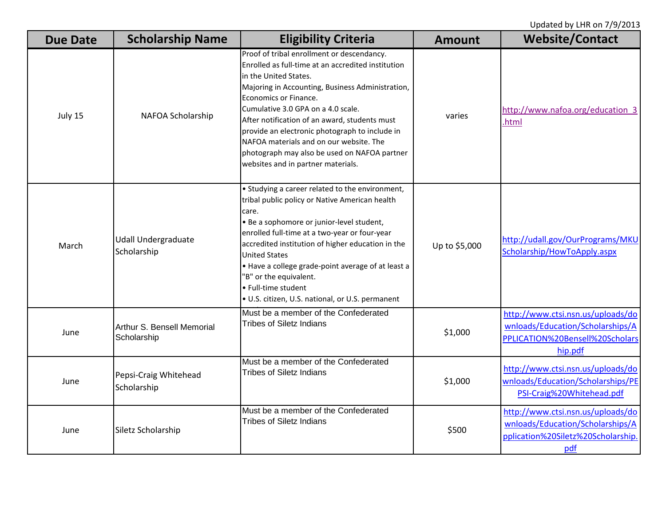| <b>Due Date</b> | <b>Scholarship Name</b>                   | <b>Eligibility Criteria</b>                                                                                                                                                                                                                                                                                                                                                                                                                                                      | <b>Amount</b> | <b>Website/Contact</b>                                                                                              |
|-----------------|-------------------------------------------|----------------------------------------------------------------------------------------------------------------------------------------------------------------------------------------------------------------------------------------------------------------------------------------------------------------------------------------------------------------------------------------------------------------------------------------------------------------------------------|---------------|---------------------------------------------------------------------------------------------------------------------|
| July 15         | NAFOA Scholarship                         | Proof of tribal enrollment or descendancy.<br>Enrolled as full-time at an accredited institution<br>in the United States.<br>Majoring in Accounting, Business Administration,<br>Economics or Finance.<br>Cumulative 3.0 GPA on a 4.0 scale.<br>After notification of an award, students must<br>provide an electronic photograph to include in<br>NAFOA materials and on our website. The<br>photograph may also be used on NAFOA partner<br>websites and in partner materials. | varies        | http://www.nafoa.org/education 3<br>.html                                                                           |
| March           | <b>Udall Undergraduate</b><br>Scholarship | • Studying a career related to the environment,<br>tribal public policy or Native American health<br>care.<br>· Be a sophomore or junior-level student,<br>enrolled full-time at a two-year or four-year<br>accredited institution of higher education in the<br><b>United States</b><br>. Have a college grade-point average of at least a<br>'B" or the equivalent.<br>• Full-time student<br>· U.S. citizen, U.S. national, or U.S. permanent                                 | Up to \$5,000 | http://udall.gov/OurPrograms/MKU<br>Scholarship/HowToApply.aspx                                                     |
| June            | Arthur S. Bensell Memorial<br>Scholarship | Must be a member of the Confederated<br><b>Tribes of Siletz Indians</b>                                                                                                                                                                                                                                                                                                                                                                                                          | \$1,000       | http://www.ctsi.nsn.us/uploads/do<br>wnloads/Education/Scholarships/A<br>PPLICATION%20Bensell%20Scholars<br>hip.pdf |
| June            | Pepsi-Craig Whitehead<br>Scholarship      | Must be a member of the Confederated<br><b>Tribes of Siletz Indians</b>                                                                                                                                                                                                                                                                                                                                                                                                          | \$1,000       | http://www.ctsi.nsn.us/uploads/do<br>wnloads/Education/Scholarships/PE<br>PSI-Craig%20Whitehead.pdf                 |
| June            | Siletz Scholarship                        | Must be a member of the Confederated<br><b>Tribes of Siletz Indians</b>                                                                                                                                                                                                                                                                                                                                                                                                          | \$500         | http://www.ctsi.nsn.us/uploads/do<br>wnloads/Education/Scholarships/A<br>pplication%20Siletz%20Scholarship.<br>pdf  |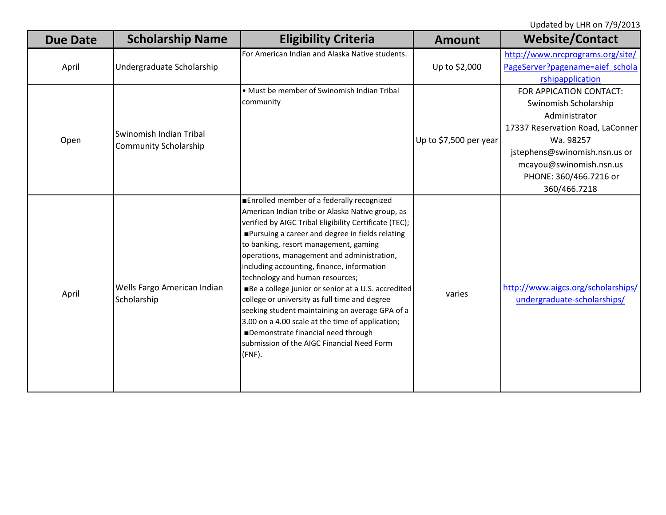| <b>Due Date</b> | <b>Scholarship Name</b>                          | <b>Eligibility Criteria</b>                                                                                                                                                                                                                                                                                                                                                                                                                                                                                                                                                                                                                                                                        | <b>Amount</b>          | <b>Website/Contact</b>                                                                                                                                                                                                   |
|-----------------|--------------------------------------------------|----------------------------------------------------------------------------------------------------------------------------------------------------------------------------------------------------------------------------------------------------------------------------------------------------------------------------------------------------------------------------------------------------------------------------------------------------------------------------------------------------------------------------------------------------------------------------------------------------------------------------------------------------------------------------------------------------|------------------------|--------------------------------------------------------------------------------------------------------------------------------------------------------------------------------------------------------------------------|
| April           | Undergraduate Scholarship                        | For American Indian and Alaska Native students.                                                                                                                                                                                                                                                                                                                                                                                                                                                                                                                                                                                                                                                    | Up to \$2,000          | http://www.nrcprograms.org/site/<br>PageServer?pagename=aief_schola<br>rshipapplication                                                                                                                                  |
| Open            | Swinomish Indian Tribal<br>Community Scholarship | • Must be member of Swinomish Indian Tribal<br>community                                                                                                                                                                                                                                                                                                                                                                                                                                                                                                                                                                                                                                           | Up to \$7,500 per year | FOR APPICATION CONTACT:<br>Swinomish Scholarship<br>Administrator<br>17337 Reservation Road, LaConner<br>Wa. 98257<br>jstephens@swinomish.nsn.us or<br>mcayou@swinomish.nsn.us<br>PHONE: 360/466.7216 or<br>360/466.7218 |
| April           | Wells Fargo American Indian<br>Scholarship       | ■Enrolled member of a federally recognized<br>American Indian tribe or Alaska Native group, as<br>verified by AIGC Tribal Eligibility Certificate (TEC);<br>Pursuing a career and degree in fields relating<br>to banking, resort management, gaming<br>operations, management and administration,<br>including accounting, finance, information<br>technology and human resources;<br>Be a college junior or senior at a U.S. accredited<br>college or university as full time and degree<br>seeking student maintaining an average GPA of a<br>3.00 on a 4.00 scale at the time of application;<br>Demonstrate financial need through<br>submission of the AIGC Financial Need Form<br>$(FNF)$ . | varies                 | http://www.aigcs.org/scholarships/<br>undergraduate-scholarships/                                                                                                                                                        |